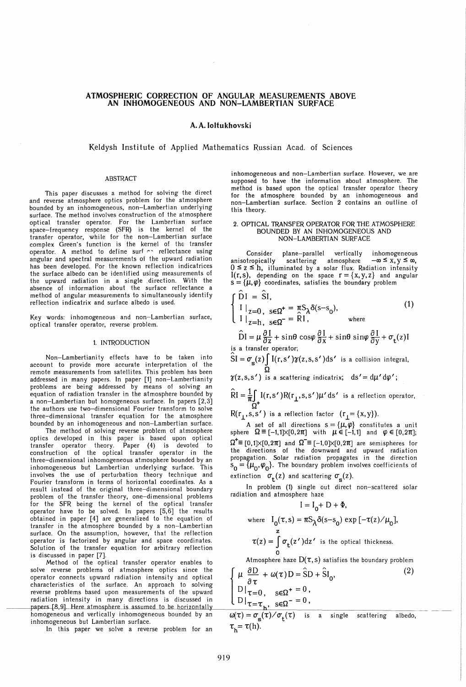# ATMOSPHERIC CORRECTION OF ANGULAR MEASUREMENTS ABOVE AN INHOMOGENEOUS AND NON-LAMBERTIAN SURFACE

# A. A.loltukhovski

## Keldysh Institute of Applied Mathematics Russian Acad. of Sciences

#### ABSTRACT

This paper discusses a method for solving the direct and reverse atmosphere optics problem for the atmosphere bounded by an inhomogeneous, non-Lambertian underlying surface. The method involves construction of the atmosphere optical transfer operator. For the Lambertian surface space-frequency response (SFR) is the kernel of the transfer operator, while for the non-Lambertian surface complex Green's function is the kernel of the transfer operator. A method to define surfers reflectance using angular and spectral measurements of the upward radiation has been developed. For the known reflection indicatrices the surface albedo can be identified using measurements of the upward radiation in a single .direction. With the absence of information about the surface reflectance a method of angular measurements to simultaneously identify reflection indicatrix and surface albedo is used.

Key words: inhomogeneous and non-Lambertian surface, optical transfer operator. reverse problem.

### 1. INTRODUCTION

Non-Lambertianity effects have to be taken into account to provide more accurate interpretation of the remote measurements from satellites. This problem has been addressed in many papers. In paper [1] non-Lambertianity problems are being addressed by means of solving an equation of radiation transfer in the atmosphere bounded by a non-Lambertian but homogeneous surface. In papers  $[2,3]$ the authors use two-dimensional Fourier transform to solve three-dimensional transfer equation for the atmosphere bounded by an inhomogeneous and non-Lambertian surface.

The method of solving reverse problem of atmosphere optics developed in this paper is based upon optical transfer operator theory. Paper (4) is devoted to construction of the optical transfer operator in the three-dimensional inhomogeneous atmosphere bounded by an inhomogeneous but Lambertian underlying surface. This involves the use of perturbation theory technique and Fourier transform in terms of horizontal coordinates. As a result instead of the original three-dimensional boundary problem of the transfer theory, one-dimensional problems for the SFR being the kernel of the optical transfer operator have to be solved. In papers [5,6] the results obtained in paper [4] are generalized to the equation of transfer in the atmosphere bounded by a non-Lambertian surface. On the assumption, however, that the reflection surface. On the assumption, however, that the reflection<br>operator is factorized by angular and space coordinates.  $\tau(z) = \int_{0}^{\infty} \sigma_{t}(z') dz'$  is the optical thickness.<br>Solution of the transfer equation for arbitrary reflec is discussed in paper [7].<br>is discussed in paper [7].<br>Method of the optical transfer operator enables to Atmosphere surface. On the assumption, however, that the reflection<br>operator is factorized by angular and space coordinates.<br>Solution of the transfer equation for arbitrary reflection<br>is discussed in paper [7].<br>Method of the optical

solve reverse problems of atmosphere optics since the operator connects upward radiation intensity and optical characteristics of the surface. An approach to solving reverse problems based upon measurements of the upward radiation intensity in many directions is discussed in 0 I *T=T* sEQ- = 0, ----~peIS-{8,9] Here atmosphere is assllme\_LUL~orizon-"-,t",,a-'-!II-J-Y \_\_\_\_\_\_ ~ papers [8,9]. Here atmosphere is assumed to be horizontally<br>homogeneous and vertically inhomogeneous bounded by an  $\omega(\tau) = \sigma_{\rm g}(\tau)/\sigma_{\rm t}(\tau)$  is a single scattering albedo, inhomogeneous but Lambertian surface.

In this paper we solve a reverse problem for an  $\tau_h = \tau(h)$ .

inhomogeneous and non-Lambertian surface. However, we are supposed to have the information about atmosphere. The method is based upon the optical transfer operator theory for the atmosphere bounded by an inhomogeneous and non-Lambertian surface. Section 2 contains an outline of this theory.

### 2. OPTICAL TRANSFER OPERATOR FOR THE ATMOSPHERE BOUNDED BY AN INHOMOGENEOUS AND NON-LAMBERTIAN SURFACE

Consider plane-parallel vertically inhomogeneous<br>anisotropically scattering atmosphere  $-\infty \le x, y \le \infty$ , scattering atmosphere  $0 \le z \le h$ , illuminated by a solar flux. Radiation intensity I(r,s), depending on the space  $r = \{x, y, z\}$  and angular  $s = {\mu, \varphi}$  coordinates, satisfies the boundary problem

$$
\begin{cases}\n\hat{D}I = \hat{S}I, \\
I \mid_{z=0, \text{ } s \in \Omega^{+}} = \pi S_{\lambda} \delta(s-s_{0}), \\
I \mid_{z=h, \text{ } s \in \Omega^{-}} = \hat{R}I, \n\end{cases}
$$
\n(1)

$$
\hat{D}I = \mu \frac{\partial I}{\partial z} + \sin \theta \cos \varphi \frac{\partial I}{\partial x} + \sin \theta \sin \varphi \frac{\partial I}{\partial y} + \sigma_t(z)I
$$

s a transfer operator;

 $\int \sin^2 a$  iddisset operator,<br>SI =  $\sigma_s(z) \int I(r,s') \gamma(z,s,s') ds'$  is a collision integral.  $\Omega$ 

 $\gamma(z,s,s')$  is a scattering indicatrix;  $ds' = d\mu' d\varphi'$ ;

 $RI = \frac{1}{\pi} \int I(r,s') R(r_1,s,s') \mu' ds'$  is a reflection operator,  $\rm \tilde O^+$ 

 $R(r_1, s, s')$  is a reflection factor  $(r_1 = {x, y})$ .

A set of all directions  $s = {\mu, \varphi}$  constitutes a unit sphere  $\Omega \equiv [-1,1]\times[0,2\pi]$  with  $\mu \in [-1,1]$  and  $\varphi\in [0,2\pi];$  $\Omega^+ \equiv [0,1] \times [0,2\pi]$  and  $\Omega^- \equiv [-1,0] \times [0,2\pi]$  are semispheres for the directions of the downward and upward radiation propagation. Solar radiation propagates in the direction  $S_{\Omega} = {\mu_{\Omega}, \varphi_{\Omega}}$ . The boundary problem involves coefficients of extinction  $\sigma_t(z)$  and scattering  $\sigma_s(z)$ .

In problem (1) single out direct non-scattered solar radiation and atmosphere haze

$$
I = I_0 + D + \Phi,
$$
  
where  $I_0(\tau, s) = \pi S_\lambda \delta(s - s_0) \exp[-\tau(z)/\mu_0],$   
 $\tau(z) = \int \sigma_t(z')dz'$  is the optical thickness.

Atmosphere haze  $D(\tau, s)$  satisfies the boundary problem

$$
\begin{cases}\n\mu \frac{\partial D}{\partial \tau} + \omega(\tau)D = \hat{S}D + \hat{S}I_0,\n\\
D|_{\tau=0}, \quad \text{se} \Omega^* = 0, \\
D|_{\tau=\tau_h}, \quad \text{se} \Omega^- = 0,\n\end{cases}
$$
\n(2)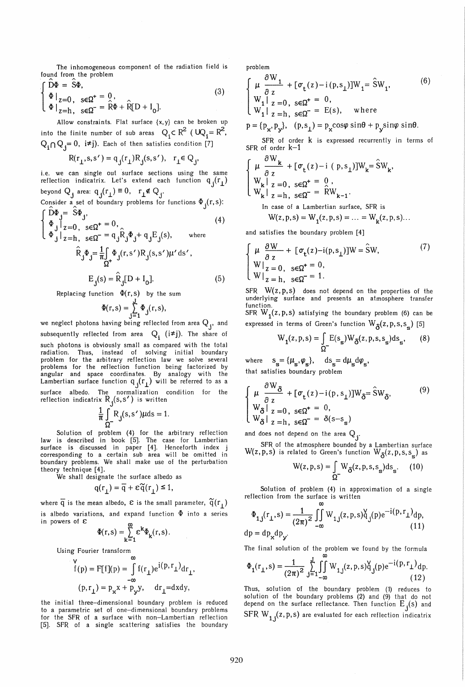The inhomogeneous component of the radiation field is found from the problem

$$
\begin{cases}\nD\Phi = S\Phi, \\
\Phi|_{z=0}, \quad s \in \Omega^+ = 0, \\
\Phi|_{z=h}, \quad s \in \Omega^- = \widehat{R}\Phi + \widehat{R}[D + I_0].\n\end{cases}
$$
\n(3)

Allow constraints. Flat surface {x, y} can be broken up into the finite number of sub areas  $Q_i \subset R^2$  ( $UQ_i = R^2$ ,  $Q_i \cap Q_i = 0$ , i=j). Each of then satisfies condition [7]

$$
\mathsf{R}(\mathsf{r}_\perp,\mathsf{s},\mathsf{s}') = \mathsf{q}_\mathsf{j}(\mathsf{r}_\perp)\mathsf{R}_\mathsf{j}(\mathsf{s},\mathsf{s}'), \quad \mathsf{r}_\perp{\in}\,\mathsf{Q}_\mathsf{j},
$$

i.e. we can single out surface sections using the same reflection indicatrix. Let's extend each function  $q_i(r_1)$ beyond Q, area:  $q_i(r_i) \equiv 0$ ,  $r_i \notin Q_i$ .

Consider a set of boundary problems for functions  $\Phi_{\bf j}({\bf r},{\bf s})$ :  $\widehat{D}\Phi = \widehat{S}\Phi$ .

$$
\begin{cases}\n\Phi_{\mathbf{j}}\Big|_{z=0, \text{ }s\in\Omega^{+}} = 0, & (4) \\
\Phi_{\mathbf{j}}\Big|_{z=h, \text{ }s\in\Omega^{-}} = q_{\mathbf{j}}\hat{R}_{\mathbf{j}}\Phi_{\mathbf{j}} + q_{\mathbf{j}}E_{\mathbf{j}}(s), & \text{where} \\
\hat{R}_{\mathbf{j}}\Phi_{\mathbf{j}} = \frac{1}{\pi}\int_{\Omega^{+}} \Phi_{\mathbf{j}}(r, s')R_{\mathbf{j}}(s, s')\mu' \,ds', \\
E_{\mathbf{j}}(s) = \hat{R}_{\mathbf{j}}[D + I_{0}]. & (5)\n\end{cases}
$$

Replacing function  $\Phi(r, s)$  by the sum

$$
\Phi(r,s) = \sum_{j=1}^{J} \Phi_j(r,s),
$$

we neglect photons having being reflected from area  $Q_j$ , and subsequently reflected from area  $\mathbf{Q}_i$  (i=j). The share of such photons is obviously small as compared with the total radiation. Thus, instead of solving initial boundary problem for the arbitrary reflection law we solve several problems for the reflection function being factorized by angular and space coordinates. By analogy with the Lambertian surface function  $q_i(r_i)$  will be referred to as a surface albedo. The normalization condition for the reflection indicatrix  $R_j(s,s')$  is written<br> $\frac{1}{\pi} \int R_j(s,s') \mu ds = 1$ .

$$
\frac{1}{\pi} \int_{\Omega} R_{\mathbf{j}}(s, s') \mu \mathrm{d} s = 1.
$$

Solution of problem (4) for the arbitrary reflection law is described in book [5]. The case for Lambertian surface is discussed in paper [4]. Henceforth index j corresponding to a certain sub area will be omitted in boundary problems. We shall make use of the perturbation theory technique [4].

We shall designate the surface albedo as

$$
q(r_1) = \overline{q} + \varepsilon \widetilde{q}(r_1) \le 1,
$$

where  $\overline{q}$  is the mean albedo,  $\varepsilon$  is the small parameter,  $\widetilde{q}(r_1)$ is albedo variations, and expand function  $\Phi$  into a series in powers of  $\varepsilon$ 

$$
\Phi(r,s) = \sum_{k=1}^{\infty} \varepsilon^k \Phi_k(r,s).
$$

Using Fourier transform

$$
f(p) = F[f](p) = \int_{-\infty}^{\infty} f(r_{\perp}) e^{i(p, r_{\perp})} dr_{\perp},
$$
  
(p, r<sub>1</sub>) = p<sub>x</sub>x + p<sub>y</sub>y, dr<sub>1</sub>=dxdy,

the initial three-dimensional boundary problem is reduced to a parametric set of one-dimensional boundary problems for the SFR of a surface with non-Lambertian reflection [5]. SFR of a single scattering satisfies the boundary problem

$$
\begin{cases}\n\mu \frac{\partial W_1}{\partial z} + [\sigma_t(z) - i(p, s_1)]W_1 = \hat{S}W_1, & (6) \\
W_1 |_{z=0}, \ s \in \Omega^+ = 0, & (6) \\
W_1 |_{z=h}, \ s \in \Omega^- = E(s), & \text{where} \\
p = \{p_x, p_y\}, (p, s_1) = p_x \cos \varphi \sin \theta + p_y \sin \varphi \sin \theta.\n\end{cases}
$$

SFR of order k is expressed recurrently in terms of SFR of order  $k-1$ 

$$
\begin{cases}\n\mu \frac{\partial W_{k}}{\partial z} + [\sigma_{t}(z) - i (p, s_{\perp})]W_{k} = \hat{S}W_{k}, \\
W_{k} | z = 0, s \in \Omega^{+} = 0, \\
W_{k} | z = h, s \in \Omega^{-} = \hat{R}W_{k-1}.\n\end{cases}
$$
\nIn case of a Lambertian surface, SFR is

$$
W(z, p, s) = W_1(z, p, s) = ... = W_k(z, p, s)...
$$

and satisfies the boundary problem [4]

$$
\begin{cases}\n\mu \frac{\partial W}{\partial z} + [\sigma_t(z) - i(p, s_\perp)]W = \hat{S}W, \\
W|_{z=0}, \quad s \in \Omega^+ = 0, \\
W|_{z=h}, \quad s \in \Omega^- = 1.\n\end{cases}
$$
\n(7)

 $SFR$   $W(z,p,s)$  does not depend on the properties of the underlying surface and presents an atmosphere transfer function.

SFR  $W_{1}(z,p,s)$  satisfying the boundary problem (6) can be expressed in terms of Green's function  $W_{\mathfrak{F}}(z, p, s, s_{\mathbf{s}})$  [5]

$$
W_1(z, p, s) = \int_{\Omega^-} E(s_s) W_{\delta}(z, p, s, s_s) ds_s,
$$
 (8)

 $\text{where}\quad \ \ \mathsf{s}_\mathbf{s}\! = \{\boldsymbol{\mu}_\mathbf{s}, \boldsymbol{\varphi}_\mathbf{s}\}, \quad \ \mathsf{d}\mathsf{s}_\mathbf{s}\! = \mathsf{d}\boldsymbol{\mu}_\mathbf{s} \mathsf{d}\boldsymbol{\varphi}_\mathbf{s},$ that satisfies boundary problem

$$
\begin{cases}\n\mu \frac{\partial W_{\delta}}{\partial z} + [\sigma_t(z) - i(p, s_\perp)]W_{\delta} = \hat{S}W_{\delta}, & (9) \\
W_{\delta}|_{z=0, \text{ } s \in \Omega^+} = 0, & (9) \\
W_{\delta}|_{z=h, \text{ } s \in \Omega^-} = \delta(s - s_s)\n\end{cases}
$$

and does not depend on the area  $Q_j$ .

SFR of the atmosphere bounded by a Lambertian surface W(z, p, s) is related to Green's function  $W_{\mathcal{S}}(z, p, s, s_{-})$  as

$$
W(z, p, s) = \int_{\Omega} W_{\delta}(z, p, s, s_s) ds_s.
$$
 (10)

Solution of problem (4) in approximation of a single reflection from the surface is written

$$
\Phi_{1,j}(r_{\perp}, s) = \frac{1}{(2\pi)^2} \iint_{-\infty}^{\infty} W_{1,j}(z, p, s) \check{q}_j(p) e^{-i(p, r_{\perp})} dp,
$$
  
dp = dp<sub>x</sub>dp<sub>y</sub>. (11)

The final solution of the problem we found by the formula

$$
\Phi_{1}(r_{\perp}, s) = \frac{1}{(2\pi)^{2}} \sum_{j=1}^{J} \int_{-\infty}^{\infty} W_{1,j}(z, p, s) \check{q}_{j}(p) e^{-i(p, r_{\perp})} dp.
$$
\n(12)

Thus, solution of the boundary problem (1) reduces to solution of the boundary problems (2) and (9) that do not depend on the surface reflectance. Then function  $E_j(s)$  and  ${\rm SFR \ W}_{\mathbf{1}\mathbf{j}}(\mathsf{z},\mathsf{p},\mathsf{s})$  are evaluated for each reflection indicatrix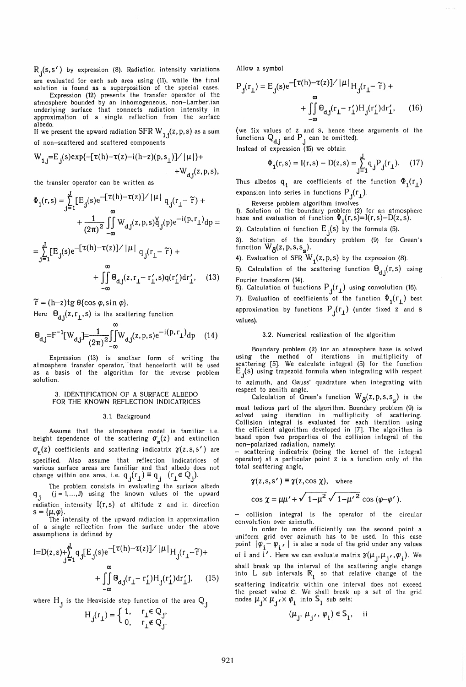R<sub>1</sub>(s,s') by expression (8). Radiation intensity variations J are evaluated for each sub area using (11), while the final solution is found as a superposition of the special cases.

Expression (12) presents the transfer operator of the atmosphere bounded by an inhomogeneous, non-Lambertian underlying surface that connects radiation intensity in approximation of a single reflection from the surface albedo.

If we present the upward radiation SFR  $W_{1,i}(z, p, s)$  as a sum of non-scattered and scattered components

$$
W_{1,j} = E_j(s) \exp\{-[\tau(h) - \tau(z) - i(h - z)(p, s_1)] / |\mu|\} + W_{d,i}(z, p, s),
$$

the transfer operator can be written as

$$
\Phi_{1}(r,s) = \sum_{j=1}^{J} [E_{j}(s)e^{-[\tau(h)-\tau(z)]/|\mu|} q_{j}(r_{\perp} - \tilde{r}) +
$$
  
\n
$$
+ \frac{1}{(2\pi)^{2}} \iint_{-\infty}^{\infty} W_{d,j}(z, p, s)q_{j}(p)e^{-i(p, r_{\perp})}dp =
$$
  
\n
$$
= \sum_{j=1}^{J} [E_{j}(s)e^{-[\tau(h)-\tau(z)]/|\mu|} q_{j}(r_{\perp} - \tilde{r}) +
$$
  
\n
$$
+ \iint_{-\infty}^{\infty} \Theta_{d,j}(z, r_{\perp} - r'_{\perp}, s)q(r'_{\perp})dr'_{\perp}, \quad (13)
$$

 $\widetilde{r} = (h-z)tg \theta \{\cos \varphi, \sin \varphi\}.$ 

Here  $\Theta_{d,i}(z, r_{\perp}, s)$  is the scattering function

$$
\Theta_{d,j} = F^{-1}[W_{d,j}] = \frac{1}{(2\pi)^2} \iint_{-\infty}^{\infty} W_{d,j}(z, p, s) e^{-i(p, r_{\perp})} dp \quad (14)
$$

Expression (13) is another form of writing the atmosphere transfer operator, that henceforth will be used as a basis of the algorithm for the reverse problem solution.

## 3. IDENTIFICATION OF A SURF ACE ALBEDO FOR THE KNOWN REFLECTION INDICATRICES

#### 3.1. Background

Assume that the atmosphere model is familiar i.e.<br>height dependence of the scattering  $\sigma_{\bf g}(z)$  and extinction  $\sigma_{\text{t}}(z)$  coefficients and scattering indicatrix  $\gamma(z,s,s')$  are specified. Also assume that reflection indicatrices of various surface areas are familiar and that albedo does not change within one area, i.e.  $q_j(r_\perp)\equiv q_j\ \ (r_\perp \in Q_j).$ 

The problem consists in evaluating the surface albedo  $q_j$  (j = 1,..., J) using the known values of the upward  $q_j$  (j = 1,..., J) using the known values of the upward radiation intensity  $I(r,s)$  at altitude Z and in direction  $s = {\mu, \varphi}.$ 

The intensity of the upward radiation in approximation of a single reflection from the surface under the above assumptions is defined by

$$
I = D(z, s) + \sum_{j=1}^{J} q_j [E_j(s)e^{-[\tau(h) - \tau(z)]/|\mu|} H_j(r_1 - \tilde{r}) + \int_{-\infty}^{\infty} \Theta_{d,j}(r_1 - r'_1) H_j(r'_1) dr'_1], \quad (15)
$$

where  $H_i$  is the Heaviside step function of the area  $Q_i$ 

$$
H_{j}(r_{\perp}) = \begin{cases} 1, & r_{\perp} \in Q_{j}, \\ 0, & r_{\perp} \notin Q_{j}. \end{cases}
$$

Allow a symbol

$$
P_{j}(r_{\perp}) = E_{j}(s)e^{-[\tau(h) - \tau(z)] / |\mu|}H_{j}(r_{\perp} - \tilde{\tau}) +
$$
  

$$
+ \iint_{-\infty}^{\infty} \Theta_{d,j}(r_{\perp} - r'_{\perp})H_{j}(r'_{\perp})dr'_{\perp}, \qquad (16)
$$

(we fix values of **z** and S, hence these arguments of the functions  $Q_{d,j}$  and  $P_j$  can be omitted).

Instead of expression (15) we obtain

$$
\Phi_1(r,s) = I(r,s) - D(z,s) = \sum_{j=1}^{J} q_j P_j(r_\perp). \tag{17}
$$

Thus albedos  $q_i$  are coefficients of the function  $\Phi_1(r_1)$ expansion into series in functions  $P_f(r_1)$ .

Reverse problem algorithm involves

1). Solution of the boundary problem (2) for an atmosphere haze and evaluation of function  $\Phi_{\bf 1}({\bf r},{\bf s})$ = ${\bf l}({\bf r},{\bf s})$ - ${\bf D}({\bf z},{\bf s}).$ 

2). Calculation of function  $E_j(s)$  by the formula (5).

3). Solution of the boundary problem (9) for Green's function  $W_{\mathcal{S}}(z, p, s, s_{\epsilon}).$ 

4). Evaluation of SFR  $W_1(z, p, s)$  by the expression (8).

5). Calculation of the scattering function  $\Theta_{d,i}(r,s)$  using

Fourier transform (14).<br>6). Calculation of functions P<sub>;</sub>(r<sub>1</sub>) using convolution (16).

7). Evaluation of coefficients of the function  $\Phi_1(r_1)$  best approximation by functions  $P_i(r_1)$  (under fixed  $z$  and  $s$ values).

### 3.2. Numerical realization of the algorithm

Boundary problem (2) for an atmosphere haze is solved using the method of iterations in multiplicity of scattering [5]. We calculate integral (5) for the function<br>E<sub>j</sub>(s) using trapezoid formula when integrating with respect to azimuth, and Gauss' quadrature when integrating with respect to zenith angle.<br>Calculation of Green's function  $W_{\mathcal{S}}(z, p, s, s)$  is the

most tedious part of the algorithm. Boundary problem (9) is solved using iteration in multiplicity of scattering. Collision integral is evaluated for each iteration using the efficient algorithm developed in [7]. The algorithm is based upon two properties of the collision integral of the non-polarized radiation, namely:

- scattering indicatrix (being the kernel of the integral operator) at a particular point Z is a function only of the total scattering angle,

$$
\gamma(z, s, s') \equiv \gamma(z, \cos \chi), \text{ where}
$$
  

$$
\cos \chi = \mu \mu' + \sqrt{1 - \mu^2} \sqrt{1 - {\mu'}^2} \cos (\varphi - \varphi').
$$

- collision integral is the operator of the circular convolution over azimuth.

In order to more efficiently use the second point a uniform grid over azimuth has to be used. In this case point  $|\varphi_{i} - \varphi_{i'}|$  is also a node of the grid under any values of  $i$  and  $i'$ . Here we can evaluate matrix  $\gamma(\mu_{\tt j}, \mu_{\tt j'}, \varphi_{\tt j})$ . We shall break up the interval of the scattering angle change into  $L$  sub intervals  $\mathbb{R}_1$  so that relative change of the scattering indicatrix within one interval does not exceed the preset value  $\varepsilon$ . We shall break up a set of the grid nodes  $\mu_{\mathbf{j}} \times \mu_{\mathbf{j'}} \times \varphi_{\mathbf{i}}$  into  $\mathsf{s}_1$  sub sets:

$$
(\boldsymbol{\mu}_j,\,\boldsymbol{\mu}_{j'},\,\boldsymbol{\varphi}_i) \in \mathbb{S}_1, \quad \text{ if } \quad
$$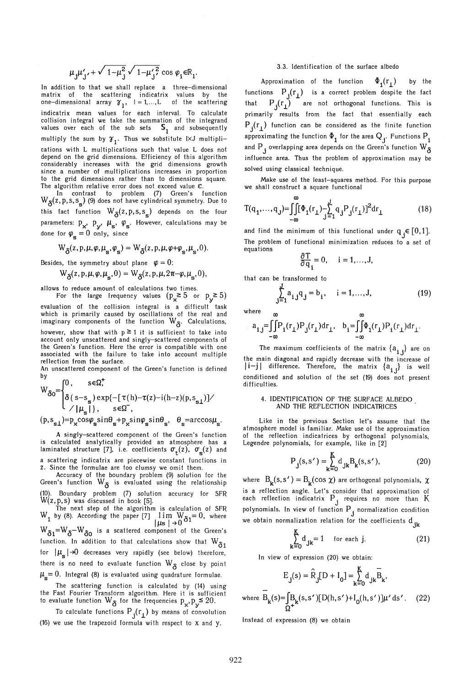$$
\mu_j \mu'_{j'} + \sqrt{1-\mu_j^2} \sqrt{1-\mu'_{j'}^2} \cos \varphi_i \in \mathbb{R}_1
$$
.

In addition to that we shall replace a three-dimensional matrix of the scattering indicatrix values by the one-dimensional array  $\gamma_1$ ,  $l = 1,...,L$  of the scattering indicatrix mean values for each interval. To calculate collision integral we take the summation of the integrand<br>values over each of the sub sets S, and subsequently multiply the sum by  $\gamma_1$ . Thus we substitute IXJ multiplications with L multiplications such that value L does not depend on the grid dimensions. Efficiency of this algorithm considerably increases with the grid dimensions growth since a number of multiplications increases in proportion to the grid dimensions rather than to dimensions square. The algorithm relative error does not exceed value  $\varepsilon$ .

In contrast to problem (7) Green's function  $W_{\mathcal{S}}(z,p,s,s)$  (9) does not have cylindrical symmetry. Due to this fact function  $W_{\delta}(z, p, s, s_{s})$  depends on the four parameters:  $p_x$ ,  $p_y$ ,  $\mu_s$ ,  $\varphi_s$ . However, calculations may be done for  $\varphi_s = 0$  only, since

$$
W_{\delta}(z, p, \mu, \varphi, \mu_{s}, \varphi_{s}) = W_{\delta}(z, p, \mu, \varphi + \varphi_{s}, \mu_{s}, 0).
$$

Besides, the symmetry about plane  $\varphi = 0$ :

$$
W_{\delta}(z, p, \mu, \varphi, \mu_{_{\mathbf{S}}}, 0) = W_{\delta}(z, p, \mu, 2\pi - \varphi, \mu_{_{\mathbf{S}}}, 0),
$$

allows to reduce amount of calculations two times.

For the large frequency values  $(p_x \ge 5$  or  $p_y \ge 5$ ) evaluation of the collision integral is a difficult task which is primarily caused by oscillations of the real and<br>imaginary components of the function  $W_{\mathbf{\mathcal{S}}}$ . Calculations, however, show that with  $p \ge 1$  it is sufficient to take into account only unscattered and singly-scattered components of the Green's function. Here the error is compatible with one associated with the failure to take into account multiple reflection from the surface.

An unscattered component of the Green's function is defined by

$$
W_{\delta 0} = \begin{cases} 0, & s \in \Omega^+ \\ \delta (s - s_s) \exp\{-[\tau(h) - \tau(z) - i(h - z)(p, s_{s\perp})]/ \\ \gamma | \mu_s| \}, & s \in \Omega^- \end{cases}
$$

 $(p, s_{s_1})=p_x cos\varphi_s sin\theta_s + p_x sin\varphi_s sin\theta_s$ ,  $\theta_s=arccos\mu_s$ .

A singly-scattered component of the Green's function is calculated analytically provided an atmosphere has a laminated structure [7], i.e. coefficients  $\sigma_{\rm t}(z)$ ,  $\sigma_{\rm g}(z)$  and a scattering indicatrix are piecewise constant functions in z. Since the formulae are too clumsy we omit them.

Accuracy of the boundary problem (9) solution for the Green's function  $W_{\mathbf{\hat{s}}}$  is evaluated using the relationship (10). Boundary problem (7) solution accuracy for SFR W(z,p,s) was discussed in book [5].

The next step of the algorithm is calculation of SFR<br>W<sub>1</sub> by (8). According the paper [7]  $\lim_{\text{L}} W_0 = 0$ , where<br> $\lim_{\text{L}} 1 \rightarrow 0$  $W_{\delta 1}$ = $W_{\delta}$ - $W_{\delta 0}$  is a scattered component of the Green's function. In addition to that calculations show that  $W_{\delta 1}$ for  $|\mu_{\rm c}| \rightarrow 0$  decreases very rapidly (see below) therefore, there is no need to evaluate function  $W_{\delta}$  close by point  $\mu_{\rm s} =0$ . Integral (8) is evaluated using quadrature formulae.

The scattering function is calculated by (14) using the Fast Fourier Transform algorithm. Here it is sufficient<br>to evaluate function  $\mathbb{W} _{\mathfrak{d}}$  for the frequencies  $\mathtt{p} _{\mathbf{x} }, \mathtt{p} _{\mathbf{y}} {\stackrel{\textbf{\leq}}{}} 20.$ 

To calculate functions  $P_{i}(r_1)$  by means of convolution (16) we use the trapezoid formula with respect to X and y.

## 3.3. Identification of the surface albedo

Approximation of the function  $\Phi_1(r_1)$  by the functions  $P_i(r_i)$  is a correct problem despite the fact that  $P_{i}(r_{i})$  are not orthogonal functions. This is primarily results from the fact that essentially each  $P_i(r_i)$  function can be considered as the finite function approximating the function  $\Phi_{\bf 1}$  for the area  $\mathsf{Q}_{\ {\bf i}'}$  Functions  $\mathsf{P}_{\bf i}$ and  $\rm P$  , overlapping area depends on the Green's function  $\rm W_{\cal S}$ influence area. Thus the problem of approximation may be solved using classical technique.

Make use of the least-squares method. For this purpose we shall construct a square functional

$$
T(q_1, ..., q_J) = \iint_{-\infty}^{\infty} [\Phi_1(r_1) - \sum_{j=1}^{J} q_j P_j(r_1)]^2 dr_1
$$
 (18)

and find the minimum of this functional under  $q_i \in [0,1]$ . The problem of functional minimization reduces to a set of equations

$$
\frac{\partial T}{\partial q_i} = 0, \quad i = 1, \ldots, J,
$$

that can be transformed to

$$
\sum_{j=1}^{J} a_{i,j} q_j = b_i, \quad i = 1,...,J,
$$
\n(19)

where  
\n
$$
a_{i,j} = \iint_{-\infty}^{\infty} P_i(r_\perp) P_j(r_\perp) dr_\perp, \quad b_i = \iint_{-\infty}^{\infty} \Phi_i(r_\perp) P_i(r_\perp) dr_\perp.
$$

The maximum coefficients of the matrix  $\{a_i\}$  are on the main diagonal and rapidly decrease with the increase of  $|i-j|$  difference. Therefore, the matrix  ${a_{i,j}}$  is well conditioned and solution of the set (19) does not present difficulties.

## 4. IDENTIFICATION OF THE SURFACE ALBEDO AND THE REFLECTION INDICATRICES

Like in the previous Section let's assume that the atmosphere model is familiar. Make use of the approximation of the reflection indicatrices by orthogonal polynomials, Legendre polynomials, for example, like in [2]

$$
P_{j}(s, s') = \sum_{k=0}^{K} d_{jk} B_{k}(s, s'),
$$
 (20)

where  $B_k(s, s') = B_k(\cos \chi)$  are orthogonal polynomials,  $\chi$ is a reflection angle. Let's consider that approximation of each reflection indicatrix  $P_j$  requires no more than  $K$ polynomials. In view of function  ${\mathsf P}_{\mathbf j}$  normalization condition we obtain normalization relation for the coefficients  $d_{ik}$ 

$$
\sum_{k=0}^{K} d_{jk} = 1 \quad \text{for each } j.
$$
 (21)

In view of expression (20) we obtain:

$$
E_{j}(s) = \hat{R}_{j}[D + I_{0}] = \sum_{k=0}^{K} d_{jk} \overline{B}_{k},
$$
  
where 
$$
\overline{B}_{k}(s) = \int_{\Omega^{+}} B_{k}(s, s') [D(h, s') + I_{0}(h, s')] \mu' ds'.
$$
 (22)

Instead of expression (8) we obtain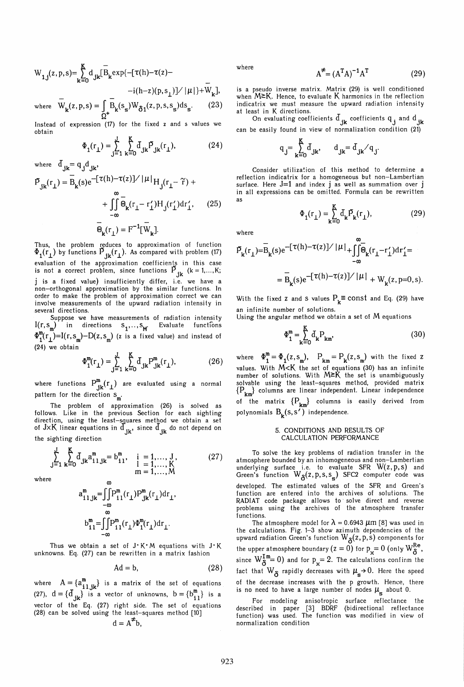$$
W_{1,j}(z, p, s) = \sum_{k=0}^{K} d_{jk} [\overline{B}_{k} exp\{-[\tau(h) - \tau(z) -
$$
  
  $-i(h - z)(p, s_{1})] / |\mu| \} + \overline{W}_{k}],$   
where  $\overline{W}(z, p, s) = \overline{B}_{k}(s, y)W_{k-}(z, p, s, s)$ 

where  $W_k(z, p, s) = \int_{\Omega^+} B_k(s_s) W_{\delta 1}(z, p, s, s_s) ds_s.$ 

Instead of expression (17) for the fixed z and s values we obtain

$$
\Phi_1(r_{\perp}) = \sum_{j=1}^{8} \sum_{k=0}^{8} d_{jk} \overline{P}_{jk}(r_{\perp}),
$$
 (24)

where  $\mathbf{d}_{jk} = \mathbf{q}_j \mathbf{d}_{jk}$ ,

$$
\bar{P}_{jk}(r_{\perp}) = \bar{B}_{k}(s)e^{-[\tau(h)-\tau(z)]/|\mu|}H_{j}(r_{\perp}-\tilde{r}) + \int_{-\infty}^{\infty} \bar{\Theta}_{k}(r_{\perp}-r'_{\perp})H_{j}(r'_{\perp})dr'_{\perp}, \qquad (25)
$$

$$
= \bar{\Theta}_{k}(r_{\perp}) = F^{-1}[\bar{W}_{k}].
$$

Thus, the problem reduces to approximation of function  $\Phi_{1}(\Gamma_{1})$  by functions  $\Phi_{jk}(\Gamma_{1})$ . As compared with problem (17) evaluation of the approximation coefficients in this case<br>is not a correct problem, since functions  $\vec{P}_{i\mathbf{k}}$  (k = 1,...,K; j is a fixed value) insufficiently differ, i.e. we have a non-orthogonal approximation by the similar functions. In order to make the problem of approximation correct we can involve measurements of the upward radiation intensity in several directions.

Suppose we have measurements of radiation intensity  $I(r, s_m)$  in directions  $s_n, \ldots, s_m$ . Evaluate functions  $\Phi_1^m(r_1)$ =I(r, s<sub>m</sub>)-D(z, s<sub>m</sub>) (z is a fixed value) and instead of (24) we obtain

$$
\Phi_{1}^{m}(r_{\perp}) = \sum_{j=1}^{J} \sum_{k=0}^{K} d_{jk} P_{jk}^{m}(r_{\perp}),
$$
 (26)

where functions  $P_{jk}^{m}(r_{\perp})$  are evaluated using a normal pattern for the direction  $s_m$ .

The problem of approximation (26) is solved as follows. Like in the previous Section for each sighting direction, using the least-squares method we obtain a set<br>of J×K linear equations in  $\rm{d}_{jk'}$  since  $\rm{d}_{jk}$  do not depend on the sighting direction

$$
\sum_{j=1}^{J} \sum_{k=0}^{K} d_{jk} a_{i1,jk}^{m} = b_{i1}^{m}, \quad \begin{array}{l} i = 1, ..., J, \\ l = 1, ..., K \\ m = 1, ..., M \end{array} \tag{27}
$$

where

$$
a_{i1\,jk}^{m} = \int_{-\infty}^{\infty} P_{i1}^{m}(r_{\perp}) P_{jk}^{m}(r_{\perp}) dr_{\perp},
$$
  
\n
$$
b_{i1}^{m} = \int_{-\infty}^{\infty} P_{i1}^{m}(r_{\perp}) \Phi_{1}^{m}(r_{\perp}) dr_{\perp}.
$$

Thus we obtain a set of  $J^*K^*M$  equations with  $J^*K$ unknowns. Eq. (27) can be rewritten in a matrix fashion

$$
Ad = b, \tag{28}
$$

where  $A = \{a_{i_1}^m, b_i\}$  is a matrix of the set of equations (27),  $d = \{d_{ik}\}\$ is a vector of unknowns,  $b = \{b_{i,j}^m\}$  is a vector of the Eq. (27) right side. The set of equations (28) can be solved using the least-squares method [10J  $d = A^{\neq}b$ ,

where

$$
\vec{=} = (A^T A)^{-1} A^T \tag{29}
$$

is a pseudo inverse matrix. Matrix (29) is well conditioned when  $M \ge K$ . Hence, to evaluate K harmonics in the reflection indicatrix we must measure the upward radiation intensity at least in K directions.

A

On evaluating coefficients  $\mathbf{d_{jk}}$  coefficients  $\mathbf{q_j}$  and  $\mathbf{d_{jk}}$ can be easily found in view of normalization condition (21)

$$
\mathbf{q}_{\mathbf{j}} = \sum_{\mathbf{k}=0}^K \mathbf{d}_{\mathbf{j}\mathbf{k}}, \qquad \mathbf{d}_{\mathbf{j}\mathbf{k}} = \mathbf{d}_{\mathbf{j}\mathbf{k}} / \mathbf{q}_{\mathbf{j}}.
$$

Consider utilization of this method to determine a reflection indicatrix for a homogeneous but non-Lambertian surface. Here J=l and index j as well as summation over j in all expressions can be omitted. Formula can be rewritten as

$$
\Phi_1(r_{\perp}) = \sum_{k=0}^{K} d_k P_k(r_{\perp}),
$$
\n(29)

where

$$
\bar{P}_{k}(r_{\perp}) = \bar{B}_{k}(s)e^{-[\tau(h) - \tau(z)]/|\mu|} + \iint_{-\infty}^{\infty} \bar{\Theta}_{k}(r_{\perp} - r'_{\perp})dr'_{\perp} = \bar{B}_{k}(s)e^{-[\tau(h) - \tau(z)]/|\mu|} + W_{k}(z, p=0, s).
$$

With the fixed z and S values  $P_k \equiv \text{const}$  and Eq. (29) have an infinite number of solutions.

Using the angular method we obtain a set of  $M$  equations

$$
\Phi_{\mathbf{1}}^{\mathbf{m}} = \sum_{\mathbf{k}=0}^{\mathbf{K}} d_{\mathbf{k}} P_{\mathbf{k}\mathbf{m}}.
$$
 (30)

where  $\Phi_1^{\text{m}} = \Phi_1(z, s_m)$ ,  $P_{km} = P_k(z, s_m)$  with the fixed z values. With  $M < K$  the set of equations (30) has an infinite number of solutions. With  $M \geq K$  the set is unambiguously solvable using the least-squares method, provided matrix  ${P_{t_m}}$  columns are linear independent. Linear independence of the matrix  $\{P_{km}\}\$  columns is easily derived from polynomials  $\mathbf{B}_{\mathbf{k}}(\mathbf{s},\mathbf{s'})$  independence.

## 5. CONDITIONS AND RESULTS OF CALCULATION PERFORMANCE

To solve the key problems of radiation transfer in the atmosphere bounded by an inhomogeneous and non-Lambertian underlying surface i.e. to evaluate SFR  $W(z, p, s)$  and Green's function  $W_{\mathcal{S}}(z, p, s, s)$  SFC2 computer code was developed. The estimated values of the SFR and Green's function are entered into the archives of solutions. The RADIAT code package allows to' solve direct and reverse problems using the archives of the atmosphere transfer functions.

The atmosphere model for  $\lambda = 0.6943 \ \mu m$  [8] was used in the calculations. Fig. 1–3 show azimuth dependencies of the<br>upward radiation Green's function  $W_{\mathcal{S}}(z,p,s)$  components for the upper atmosphere boundary (z = 0) for  $p_{\mathbf{v}}\text{= 0}$  (only  $\text{W}^\text{Re}_\mathbf{\hat{S}}$  , since  $W_S^{\text{Im}}=0$ ) and for  $p_r = 2$ . The calculations confirm the fact that  $W_{\delta}$  rapidly decreases with  $\mu_{s} \rightarrow 0$ . Here the speed of the decrease increases with the p growth. Hence, there is no need to have a large number of nodes  $\mu_{\alpha}$  about 0.

For modeling anisotropic surface reflectance the described in paper [3J BDRF (bidirectional reflectance function) was used. The function was modified in view of normalization condition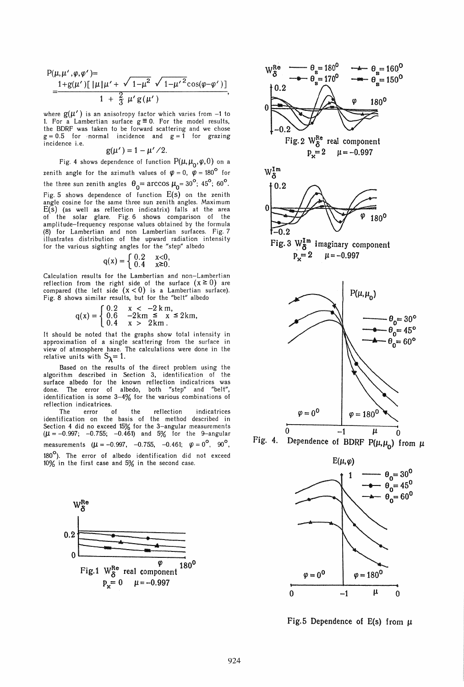$$
P(\mu, \mu', \varphi, \varphi') =
$$
  
= 
$$
\frac{1 + g(\mu')[\mu \mu' + \sqrt{1 - \mu^2} \sqrt{1 - {\mu'}^2} \cos(\varphi - \varphi')]}{1 + \frac{2}{3} \mu' g(\mu')}
$$

where  $g(\mu')$  is an anisotropy factor which varies from -1 to 1. For a Lambertian surface  $g \equiv 0$ . For the model results, the BDRF was taken to be forward scattering and we chose  $g = 0.5$  for normal incidence and  $g = 1$  for grazing incidence i.e.

$$
g(\mu')=1-\mu'/2.
$$

Fig. 4 shows dependence of function  $P(\mu, \mu_{0}, \varphi, 0)$  on a zenith angle for the azimuth values of  $\varphi = 0$ ,  $\varphi = 180^{\circ}$  for the three sun zenith angles  $\theta_0 = \arccos \mu_0 = 30^\circ$ ;  $45^\circ$ ;  $60^\circ$ . Fig. 5 shows dependence of function  $E(s)$  on the zenith angle cosine for the same three sun zenith angles. Maximum  $E(\bar{s})$  (as well as reflection indicatrix) falls at the area of the solar glare. Fig. 6 shows comparison of the amplitude-frequency response values obtained by the formula (8) for Lambertian and non Lambertian surfaces. Fig. 7 illustrates distribution of the upward radiation intensity for the various sighting angles for the "step" albedo

$$
\mathrm{q}(\boldsymbol{x})=\left\{\begin{array}{ll} 0.2 & \boldsymbol{x}\hspace{-0.15cm}<\hspace{-0.15cm}0,\\ 0.4 & \boldsymbol{x}\hspace{-0.15cm}\geq\hspace{-0.15cm}0.\end{array}\right.
$$

Calculation results for the Lambertian and non-Lambertian reflection from the right side of the surface  $(x \geq 0)$  are compared (the left side  $(x < 0)$  is a Lambertian surface). Fig. 8 shows similar results, but for the "belt" albedo

$$
q(x) = \left\{ \begin{array}{ll} 0.2 & x < -2 \text{ km,} \\ 0.6 & -2 \text{ km,} \leq x \leq 2 \text{ km,} \\ 0.4 & x > 2 \text{ km.} \end{array} \right.
$$

It should be noted that the graphs show total intensity in approximation of a single scattering from the surface in view of atmosphere haze. The calculations were done in the relative units with  $S_{\lambda} = 1$ .

Based on the results of the direct problem using the algorithm described in Section 3, identification of the surface albedo for the known reflection indicatrices was done. The error of albedo, both "step" and "belt", identification is some 3-4% for the various combinations of reflection indicatrices.

The error of the reflection indicatrices identification on the basis of the method described in Section 4 did no exceed 15% for the 3-angular measurements *(11* = -0.997; -0.755; -0.461) and 5% for the 9-angular measurements  $(\mu = -0.997, -0.755, -0.461; \varphi = 0^{\circ}, 90^{\circ},$ 180<sup>°</sup>). The error of albedo identification did not exceed 10% in the first case and 5% in the second case.





Fig. 4. Dependence of BDRF  $P(\mu, \mu_{0})$  from  $\mu$ 



Fig.5 Dependence of E(s) from  $\mu$